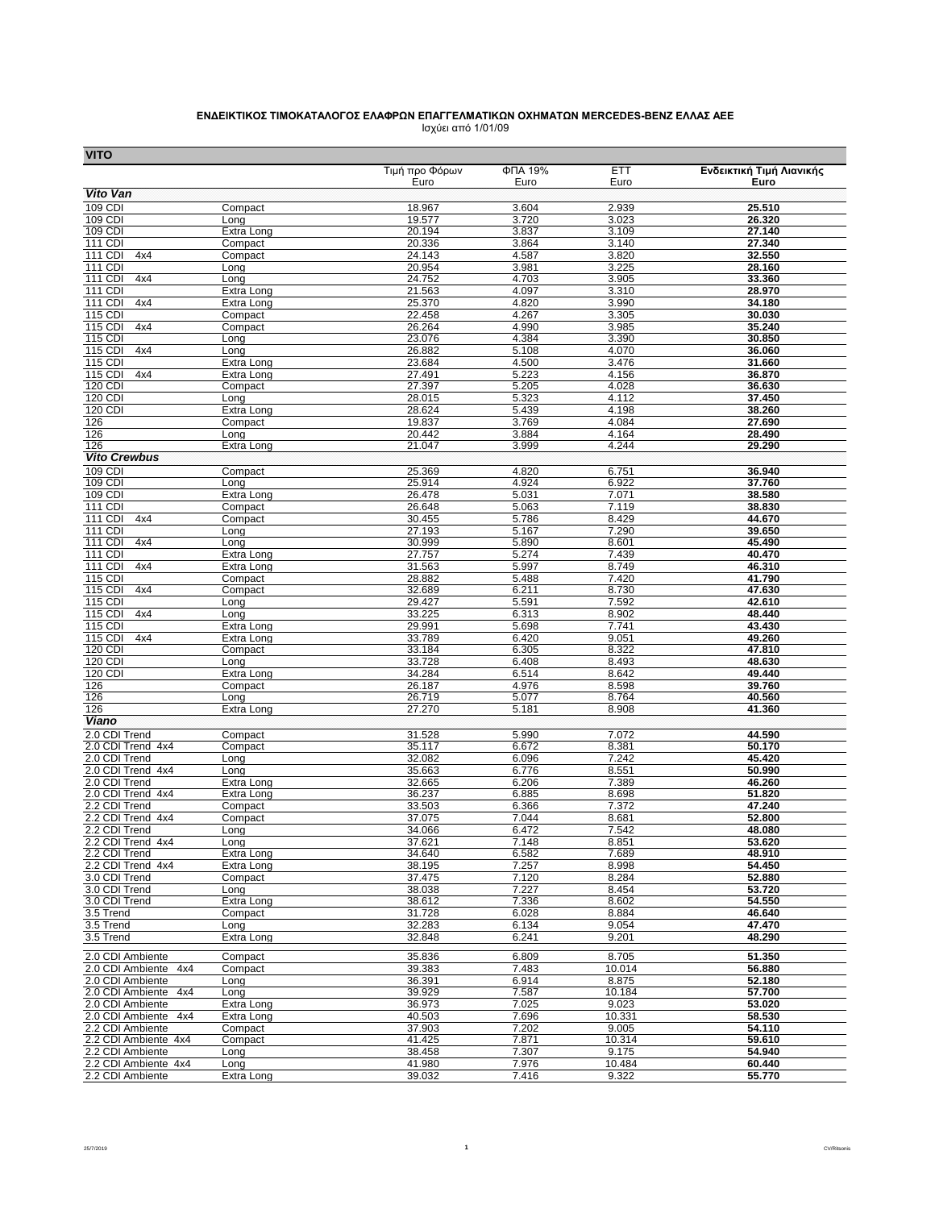## **ΕΝΔΕΙΚΤΙΚΟΣ ΤΙΜOΚΑΤΑΛΟΓΟΣ ΕΛΑΦΡΩΝ ΕΠΑΓΓΕΛΜΑΤΙΚΩΝ ΟΧΗΜΑΤΩΝ MERCEDES-BENZ ΕΛΛΑΣ ΑΕΕ** Ισχύει από 1/01/09

| <b>VITO</b>                              |                          |                  |                           |                 |                          |
|------------------------------------------|--------------------------|------------------|---------------------------|-----------------|--------------------------|
|                                          |                          | Τιμή προ Φόρων   | $\overline{\Phi}$ TIA 19% | <b>ETT</b>      | Ενδεικτική Τιμή Λιανικής |
|                                          |                          | Euro             | Euro                      | Euro            | Euro                     |
| Vito Van                                 |                          |                  |                           |                 |                          |
| 109 CDI<br>109 CDI                       | Compact<br>Long          | 18.967<br>19.577 | 3.604<br>3.720            | 2.939<br>3.023  | 25.510<br>26.320         |
| 109 CDI                                  | Extra Long               | 20.194           | 3.837                     | 3.109           | 27.140                   |
| 111 CDI                                  | Compact                  | 20.336           | 3.864                     | 3.140           | 27.340                   |
| 111 CDI<br>4x4                           | Compact                  | 24.143           | 4.587                     | 3.820           | 32.550                   |
| 111 CDI                                  | Long                     | 20.954           | 3.981                     | 3.225           | 28.160                   |
| <b>111 CDI</b><br>4x4                    | Long                     | 24.752           | 4.703                     | 3.905           | 33.360                   |
| 111 CDI<br>111 CDI<br>4x4                | Extra Long<br>Extra Long | 21.563<br>25.370 | 4.097<br>4.820            | 3.310<br>3.990  | 28.970<br>34.180         |
| 115 CDI                                  | Compact                  | 22.458           | 4.267                     | 3.305           | 30.030                   |
| 115 CDI<br>4x4                           | Compact                  | 26.264           | 4.990                     | 3.985           | 35.240                   |
| $115$ CDI                                | Long                     | 23.076           | 4.384                     | 3.390           | 30.850                   |
| 115 CDI<br>4x4                           | Long                     | 26.882           | 5.108                     | 4.070           | 36.060                   |
| 115 CDI                                  | Extra Long               | 23.684           | 4.500                     | 3.476           | 31.660                   |
| 115 CDI<br>4x4                           | Extra Long               | 27.491           | 5.223                     | 4.156           | 36.870                   |
| 120 CDI<br>120 CDI                       | Compact<br>Long          | 27.397<br>28.015 | 5.205<br>5.323            | 4.028<br>4.112  | 36.630<br>37.450         |
| 120 CDI                                  | Extra Long               | 28.624           | 5.439                     | 4.198           | 38.260                   |
| 126                                      | Compact                  | 19.837           | 3.769                     | 4.084           | 27.690                   |
| 126                                      | Long                     | 20.442           | 3.884                     | 4.164           | 28.490                   |
| 126                                      | Extra Long               | 21.047           | 3.999                     | 4.244           | 29.290                   |
| <b>Vito Crewbus</b>                      |                          |                  |                           |                 |                          |
| 109 CDI                                  | Compact                  | 25.369           | 4.820                     | 6.751           | 36.940                   |
| 109 CDI                                  | Long                     | 25.914           | 4.924                     | 6.922           | 37.760                   |
| 109 CDI                                  | Extra Long               | 26.478           | 5.031                     | 7.071           | 38.580                   |
| 111 CDI<br>111 CDI<br>4x4                | Compact<br>Compact       | 26.648<br>30.455 | 5.063<br>5.786            | 7.119<br>8.429  | 38.830<br>44.670         |
| 111 CDI                                  | Long                     | 27.193           | 5.167                     | 7.290           | 39.650                   |
| 111 CDI<br>4x4                           | Long                     | 30.999           | 5.890                     | 8.601           | 45.490                   |
| 111 CDI                                  | Extra Long               | 27.757           | 5.274                     | 7.439           | 40.470                   |
| 111 CDI<br>4x4                           | Extra Long               | 31.563           | 5.997                     | 8.749           | 46.310                   |
| 115 CDI                                  | Compact                  | 28.882           | 5.488                     | 7.420           | 41.790                   |
| $115$ CDI<br>4x4                         | Compact                  | 32.689           | 6.211                     | 8.730           | 47.630                   |
| 115 CDI<br>115 CDI<br>4x4                | Long                     | 29.427           | 5.591                     | 7.592           | 42.610<br>48.440         |
| 115 CDI                                  | Long<br>Extra Long       | 33.225<br>29.991 | 6.313<br>5.698            | 8.902<br>7.741  | 43.430                   |
| 115 CDI<br>4x4                           | Extra Long               | 33.789           | 6.420                     | 9.051           | 49.260                   |
| 120 CDI                                  | Compact                  | 33.184           | 6.305                     | 8.322           | 47.810                   |
| 120 CDI                                  | Long                     | 33.728           | 6.408                     | 8.493           | 48.630                   |
| 120 CDI                                  | Extra Long               | 34.284           | 6.514                     | 8.642           | 49.440                   |
| 126                                      | Compact                  | 26.187           | 4.976                     | 8.598           | 39.760                   |
| 126<br>126                               | Long                     | 26.719<br>27.270 | 5.077                     | 8.764           | 40.560                   |
| Viano                                    | Extra Long               |                  | 5.181                     | 8.908           | 41.360                   |
| 2.0 CDI Trend                            | Compact                  | 31.528           | 5.990                     | 7.072           | 44.590                   |
| 2.0 CDI Trend 4x4                        | Compact                  | 35.117           | 6.672                     | 8.381           | 50.170                   |
| 2.0 CDI Trend                            | Long                     | 32.082           | 6.096                     | 7.242           | 45.420                   |
| 2.0 CDI Trend 4x4                        | Long                     | 35.663           | 6.776                     | 8.551           | 50.990                   |
| 2.0 CDI Trend                            | Extra Long               | 32.665           | 6.206                     | 7.389           | 46.260                   |
| 2.0 CDI Trend 4x4                        | Extra Long               | 36.237           | 6.885                     | 8.698           | 51.820                   |
| 2.2 CDI Trend<br>2.2 CDI Trend 4x4       | Compact<br>Compact       | 33.503<br>37.075 | 6.366<br>7.044            | 7.372<br>8.681  | 47.240<br>52.800         |
| 2.2 CDI Trend                            | Lona                     | 34.066           | 6.472                     | 7.542           | 48.080                   |
| 2.2 CDI Trend 4x4                        | Long                     | 37.621           | 7.148                     | 8.851           | 53.620                   |
| 2.2 CDI Trend                            | Extra Long               | 34.640           | 6.582                     | 7.689           | 48.910                   |
| 2.2 CDI Trend 4x4                        | Extra Long               | 38.195           | 7.257                     | 8.998           | 54.450                   |
| 3.0 CDI Trend                            | Compact                  | 37.475           | 7.120                     | 8.284           | 52.880                   |
| 3.0 CDI Trend                            | Long                     | 38.038           | 7.227                     | 8.454           | 53.720                   |
| 3.0 CDI Trend                            | Extra Long               | 38.612           | 7.336                     | 8.602           | 54.550                   |
| 3.5 Trend<br>3.5 Trend                   | Compact<br>Long          | 31.728<br>32.283 | 6.028<br>6.134            | 8.884<br>9.054  | 46.640<br>47.470         |
| 3.5 Trend                                | Extra Long               | 32.848           | 6.241                     | 9.201           | 48.290                   |
|                                          |                          |                  |                           |                 |                          |
| 2.0 CDI Ambiente                         | Compact                  | 35.836           | 6.809                     | 8.705           | 51.350                   |
| 2.0 CDI Ambiente 4x4                     | Compact                  | 39.383           | 7.483                     | 10.014          | 56.880                   |
| 2.0 CDI Ambiente<br>2.0 CDI Ambiente 4x4 | Long<br>Long             | 36.391<br>39.929 | 6.914<br>7.587            | 8.875<br>10.184 | 52.180<br>57.700         |
| 2.0 CDI Ambiente                         | Extra Long               | 36.973           | 7.025                     | 9.023           | 53.020                   |
| 2.0 CDI Ambiente 4x4                     | Extra Long               | 40.503           | 7.696                     | 10.331          | 58.530                   |
| 2.2 CDI Ambiente                         | Compact                  | 37.903           | 7.202                     | 9.005           | 54.110                   |
| 2.2 CDI Ambiente 4x4                     | Compact                  | 41.425           | 7.871                     | 10.314          | 59.610                   |
| 2.2 CDI Ambiente                         | Long                     | 38.458           | 7.307                     | 9.175           | 54.940                   |
| 2.2 CDI Ambiente 4x4                     | Long                     | 41.980           | 7.976                     | 10.484          | 60.440                   |
| 2.2 CDI Ambiente                         | Extra Long               | 39.032           | 7.416                     | 9.322           | 55.770                   |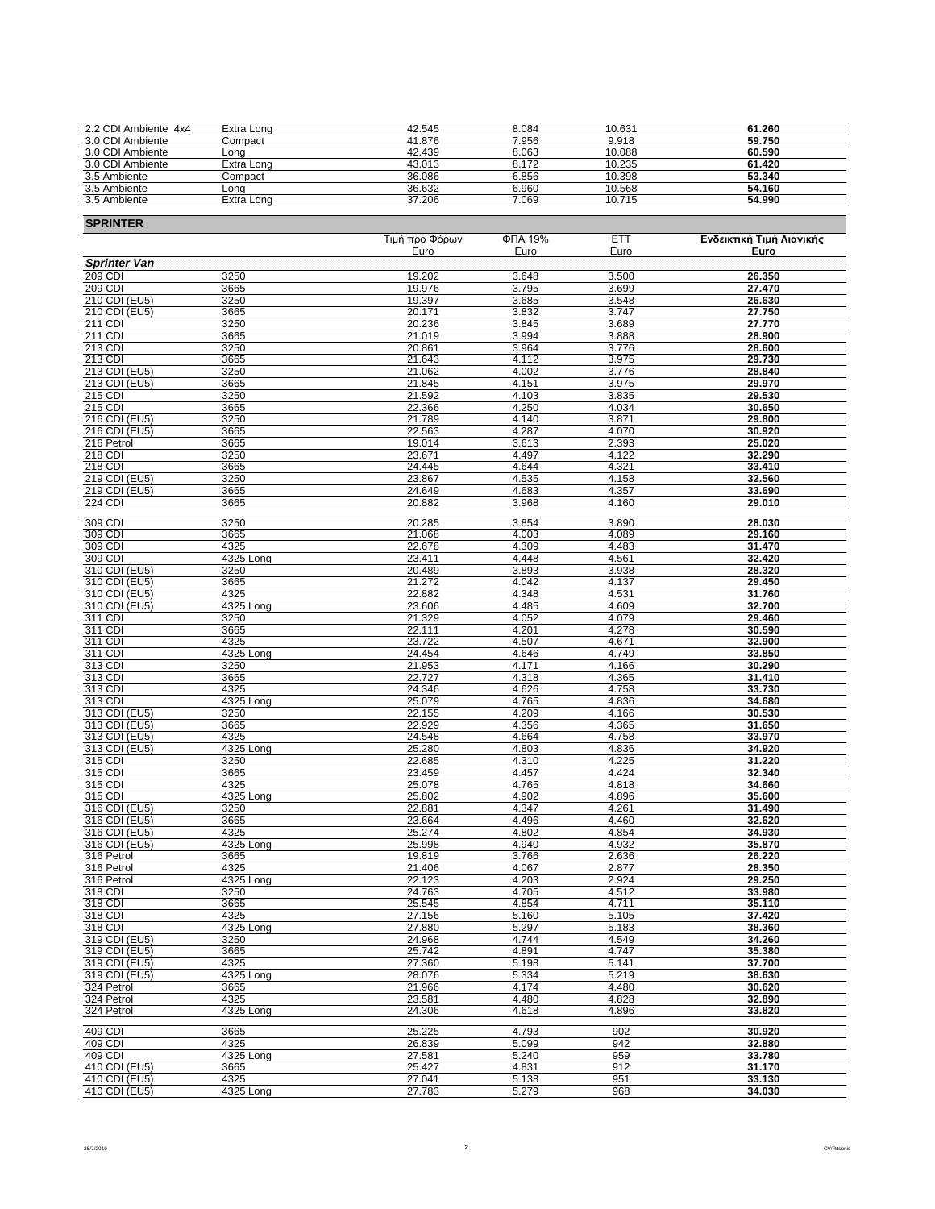| 2.2 CDI Ambiente 4x4 | Extra Long | 42.545 | 8.084 | 10.631 | 61.260 |
|----------------------|------------|--------|-------|--------|--------|
| 3.0 CDI Ambiente     | Compact    | 41.876 | 7.956 | 9.918  | 59.750 |
| 3.0 CDI Ambiente     | Lona       | 42.439 | 8.063 | 10.088 | 60.590 |
| 3.0 CDI Ambiente     | Extra Long | 43.013 | 8.172 | 10.235 | 61.420 |
| 3.5 Ambiente         | Compact    | 36.086 | 6.856 | 10.398 | 53.340 |
| 3.5 Ambiente         | Long       | 36.632 | 6.960 | 10.568 | 54.160 |
| 3.5 Ambiente         | Extra Long | 37.206 | 7.069 | 10.715 | 54.990 |

| <b>SPRINTER</b>                 |                   |                  |                |                |                          |  |
|---------------------------------|-------------------|------------------|----------------|----------------|--------------------------|--|
|                                 |                   | Τιμή προ Φόρων   | ФПА 19%        | <b>ETT</b>     | Ενδεικτική Τιμή Λιανικής |  |
| <b>Sprinter Van</b>             |                   | Euro             | Euro           | Euro           | Euro                     |  |
| 209 CDI                         | 3250              | 19.202           | 3.648          | 3.500          | 26.350                   |  |
| 209 CDI                         | 3665              | 19.976           | 3.795          | 3.699          | 27.470                   |  |
| 210 CDI (EU5)                   | 3250              | 19.397           | 3.685          | 3.548          | 26.630                   |  |
| 210 CDI (EU5)                   | 3665              | 20.171           | 3.832          | 3.747          | 27.750                   |  |
| 211 CDI<br>211 CDI              | 3250              | 20.236           | 3.845<br>3.994 | 3.689          | 27.770                   |  |
| 213 CDI                         | 3665<br>3250      | 21.019<br>20.861 | 3.964          | 3.888<br>3.776 | 28.900<br>28.600         |  |
| 213 CDI                         | 3665              | 21.643           | 4.112          | 3.975          | 29.730                   |  |
| 213 CDI (EU5)                   | 3250              | 21.062           | 4.002          | 3.776          | 28.840                   |  |
| 213 CDI (EU5)                   | 3665              | 21.845           | 4.151          | 3.975          | 29.970                   |  |
| 215 CDI                         | 3250              | 21.592           | 4.103          | 3.835          | 29.530                   |  |
| 215 CDI<br>216 CDI (EU5)        | 3665              | 22.366           | 4.250          | 4.034          | 30.650<br>29.800         |  |
| 216 CDI (EU5)                   | 3250<br>3665      | 21.789<br>22.563 | 4.140<br>4.287 | 3.871<br>4.070 | 30.920                   |  |
| 216 Petrol                      | 3665              | 19.014           | 3.613          | 2.393          | 25.020                   |  |
| 218 CDI                         | 3250              | 23.671           | 4.497          | 4.122          | 32.290                   |  |
| 218 CDI                         | 3665              | 24.445           | 4.644          | 4.321          | 33.410                   |  |
| 219 CDI (EU5)                   | 3250              | 23.867           | 4.535          | 4.158          | 32.560                   |  |
| 219 CDI (EU5)<br><b>224 CDI</b> | 3665              | 24.649           | 4.683          | 4.357          | 33.690                   |  |
|                                 | 3665              | 20.882           | 3.968          | 4.160          | 29.010                   |  |
| 309 CDI                         | 3250              | 20.285           | 3.854          | 3.890          | 28.030                   |  |
| 309 CDI                         | 3665              | 21.068           | 4.003          | 4.089          | 29.160                   |  |
| 309 CDI                         | 4325              | 22.678           | 4.309          | 4.483          | 31.470                   |  |
| 309 CDI<br>310 CDI (EU5)        | 4325 Long<br>3250 | 23.411<br>20.489 | 4.448<br>3.893 | 4.561<br>3.938 | 32.420<br>28.320         |  |
| 310 CDI (EU5)                   | 3665              | 21.272           | 4.042          | 4.137          | 29.450                   |  |
| 310 CDI (EU5)                   | 4325              | 22.882           | 4.348          | 4.531          | 31.760                   |  |
| 310 CDI (EU5)                   | 4325 Long         | 23.606           | 4.485          | 4.609          | 32.700                   |  |
| 311 CDI                         | 3250              | 21.329           | 4.052          | 4.079          | 29.460                   |  |
| 311 CDI                         | 3665              | 22.111           | 4.201          | 4.278<br>4.671 | 30.590<br>32.900         |  |
| 311 CDI<br>311 CDI              | 4325<br>4325 Long | 23.722<br>24.454 | 4.507<br>4.646 | 4.749          | 33.850                   |  |
| 313 CDI                         | 3250              | 21.953           | 4.171          | 4.166          | 30.290                   |  |
| 313 CDI                         | 3665              | 22.727           | 4.318          | 4.365          | 31.410                   |  |
| 313 CDI                         | 4325              | 24.346           | 4.626          | 4.758          | 33.730                   |  |
| 313 CDI                         | 4325 Long         | 25.079           | 4.765          | 4.836          | 34.680                   |  |
| 313 CDI (EU5)<br>313 CDI (EU5)  | 3250<br>3665      | 22.155<br>22.929 | 4.209<br>4.356 | 4.166<br>4.365 | 30.530<br>31.650         |  |
| 313 CDI (EU5)                   | 4325              | 24.548           | 4.664          | 4.758          | 33.970                   |  |
| 313 CDI (EU5)                   | 4325 Long         | 25.280           | 4.803          | 4.836          | 34.920                   |  |
| 315 CDI                         | 3250              | 22.685           | 4.310          | 4.225          | 31.220                   |  |
| 315 CDI                         | 3665              | 23.459           | 4.457          | 4.424          | 32.340                   |  |
| 315 CDI                         | 4325              | 25.078           | 4.765          | 4.818          | 34.660                   |  |
| 315 CDI<br>316 CDI (EU5)        | 4325 Long<br>3250 | 25.802<br>22.881 | 4.902<br>4.347 | 4.896<br>4.261 | 35.600<br>31.490         |  |
| 316 CDI (EU5)                   | 3665              | 23.664           | 4.496          | 4.460          | 32.620                   |  |
| 316 CDI (EU5)                   | 4325              | 25.274           | 4.802          | 4.854          | 34.930                   |  |
| 316 CDI (EU5)                   | 4325 Long         | 25.998           | 4.940          | 4.932          | 35.870                   |  |
| 316 Petrol                      | 3665              | 19.819           | 3.766          | 2.636          | 26.220                   |  |
| 316 Petrol                      | 4325              | 21.406           | 4.067          | 2.877          | 28.350                   |  |
| 316 Petrol<br>318 CDI           | 4325 Long<br>3250 | 22.123<br>24.763 | 4.203<br>4.705 | 2.924<br>4.512 | 29.250<br>33.980         |  |
| 318 CDI                         | 3665              | 25.545           | 4.854          | 4.711          | 35.110                   |  |
| 318 CDI                         | 4325              | 27.156           | 5.160          | 5.105          | 37.420                   |  |
| 318 CDI                         | 4325 Long         | 27.880           | 5.297          | 5.183          | 38.360                   |  |
| 319 CDI (EU5)                   | 3250              | 24.968           | 4.744          | 4.549          | 34.260                   |  |
| 319 CDI (EU5)<br>319 CDI (EU5)  | 3665              | 25.742           | 4.891          | 4.747          | 35.380<br>37.700         |  |
| 319 CDI (EU5)                   | 4325<br>4325 Long | 27.360<br>28.076 | 5.198<br>5.334 | 5.141<br>5.219 | 38.630                   |  |
| 324 Petrol                      | 3665              | 21.966           | 4.174          | 4.480          | 30.620                   |  |
| 324 Petrol                      | 4325              | 23.581           | 4.480          | 4.828          | 32.890                   |  |
| 324 Petrol                      | 4325 Long         | 24.306           | 4.618          | 4.896          | 33.820                   |  |
| 409 CDI                         | 3665              | 25.225           | 4.793          | 902            | 30.920                   |  |
| 409 CDI                         | 4325              | 26.839           | 5.099          | 942            | 32.880                   |  |
| 409 CDI                         | 4325 Long         | 27.581           | 5.240          | 959            | 33.780                   |  |
| 410 CDI (EU5)                   | 3665              | 25.427           | 4.831          | 912            | 31.170                   |  |
| 410 CDI (EU5)                   | 4325              | 27.041           | 5.138          | 951            | 33.130                   |  |
| 410 CDI (EU5)                   | 4325 Long         | 27.783           | 5.279          | 968            | 34.030                   |  |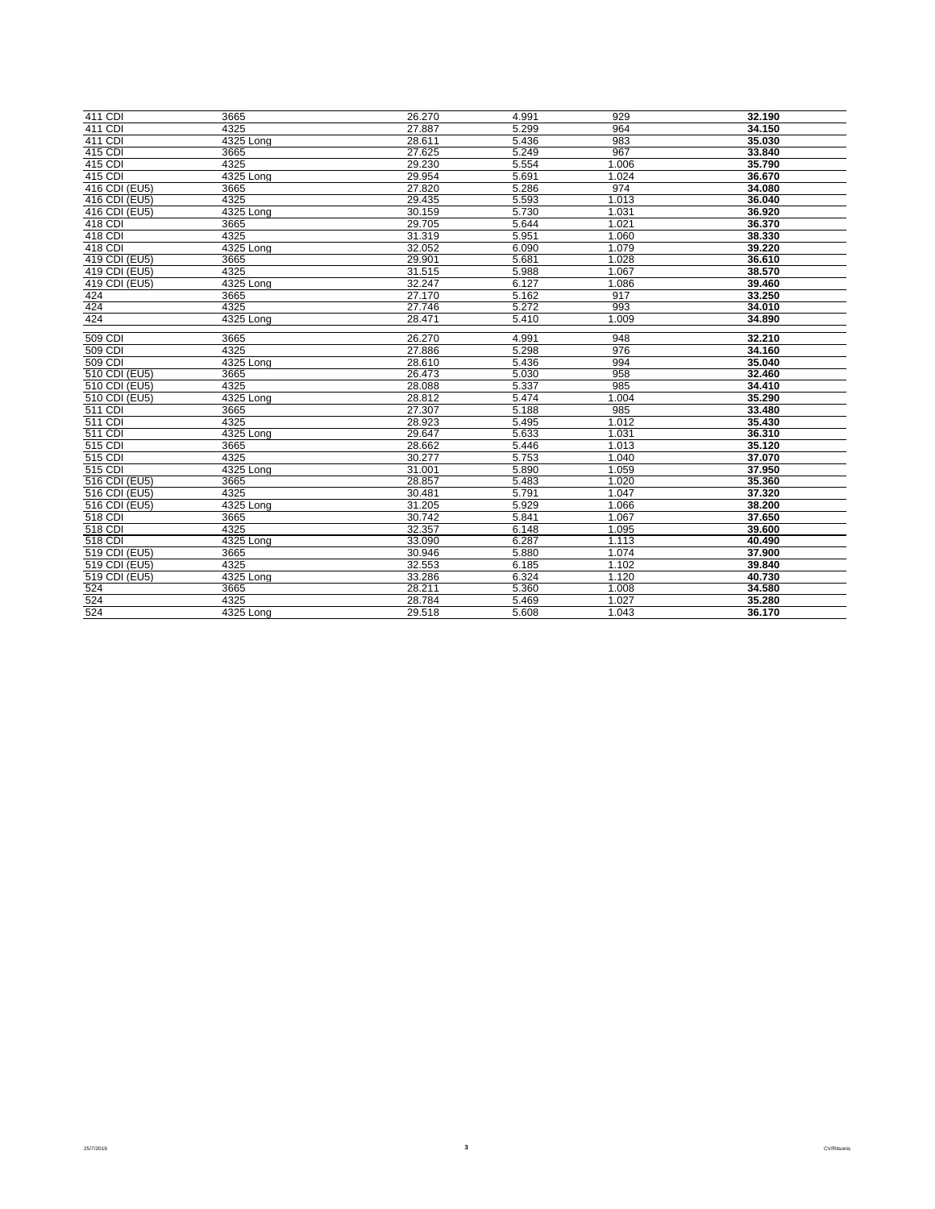| 411 CDI              | 3665        | 26.270 | 4.991 | 929   | 32.190 |
|----------------------|-------------|--------|-------|-------|--------|
| 411 CDI              | 4325        | 27.887 | 5.299 | 964   | 34.150 |
| 411 CDI              | 4325 Long   | 28.611 | 5.436 | 983   | 35.030 |
| 415 CDI              | 3665        | 27.625 | 5.249 | 967   | 33.840 |
| 415 CDI              | 4325        | 29.230 | 5.554 | 1.006 | 35.790 |
| 415 CDI              | $4325$ Long | 29.954 | 5.691 | 1.024 | 36.670 |
| 416 CDI (EU5)        | 3665        | 27.820 | 5.286 | 974   | 34.080 |
| 416 CDI (EU5)        | 4325        | 29.435 | 5.593 | 1.013 | 36.040 |
| 416 CDI (EU5)        | $4325$ Long | 30.159 | 5.730 | 1.031 | 36.920 |
| 418 CDI              | 3665        | 29.705 | 5.644 | 1.021 | 36.370 |
| 418 CDI              | 4325        | 31.319 | 5.951 | 1.060 | 38.330 |
| 418 CDI              | 4325 Long   | 32.052 | 6.090 | 1.079 | 39.220 |
| 419 CDI (EU5)        | 3665        | 29.901 | 5.681 | 1.028 | 36.610 |
| 419 CDI (EU5)        | 4325        | 31.515 | 5.988 | 1.067 | 38.570 |
| 419 CDI (EU5)        | 4325 Long   | 32.247 | 6.127 | 1.086 | 39.460 |
| 424                  | 3665        | 27.170 | 5.162 | 917   | 33.250 |
| 424                  | 4325        | 27.746 | 5.272 | 993   | 34.010 |
| 424                  | 4325 Long   | 28.471 | 5.410 | 1.009 | 34.890 |
|                      |             |        |       |       |        |
| 509 CDI              | 3665        | 26.270 | 4.991 | 948   | 32.210 |
| 509 CDI              | 4325        | 27.886 | 5.298 | 976   | 34.160 |
| 509 CDI              | 4325 Long   | 28.610 | 5.436 | 994   | 35.040 |
| 510 CDI (EU5)        | 3665        | 26.473 | 5.030 | 958   | 32.460 |
| 510 CDI (EU5)        | 4325        | 28.088 | 5.337 | 985   | 34.410 |
| 510 CDI (EU5)        | 4325 Long   | 28.812 | 5.474 | 1.004 | 35.290 |
| 511 CDI              | 3665        | 27.307 | 5.188 | 985   | 33.480 |
| $\overline{511}$ CDI | 4325        | 28.923 | 5.495 | 1.012 | 35.430 |
| $\overline{511}$ CDI | 4325 Long   | 29.647 | 5.633 | 1.031 | 36.310 |
| 515 CDI              | 3665        | 28.662 | 5.446 | 1.013 | 35.120 |
| 515 CDI              | 4325        | 30.277 | 5.753 | 1.040 | 37.070 |
| 515 CDI              | 4325 Long   | 31.001 | 5.890 | 1.059 | 37.950 |
| 516 CDI (EU5)        | 3665        | 28.857 | 5.483 | 1.020 | 35.360 |
| 516 CDI (EU5)        | 4325        | 30.481 | 5.791 | 1.047 | 37.320 |
| 516 CDI (EU5)        | 4325 Long   | 31.205 | 5.929 | 1.066 | 38.200 |
| 518 CDI              | 3665        | 30.742 | 5.841 | 1.067 | 37.650 |
| 518 CDI              | 4325        | 32.357 | 6.148 | 1.095 | 39.600 |
| 518 CDI              | 4325 Long   | 33.090 | 6.287 | 1.113 | 40.490 |
| 519 CDI (EU5)        | 3665        | 30.946 | 5.880 | 1.074 | 37.900 |
| 519 CDI (EU5)        | 4325        | 32.553 | 6.185 | 1.102 | 39.840 |
| 519 CDI (EU5)        | 4325 Long   | 33.286 | 6.324 | 1.120 | 40.730 |
| 524                  | 3665        | 28.211 | 5.360 | 1.008 | 34.580 |
| 524                  | 4325        | 28.784 | 5.469 | 1.027 | 35.280 |
| 524                  | 4325 Long   | 29.518 | 5.608 | 1.043 | 36.170 |

**3** CV/Ritsonis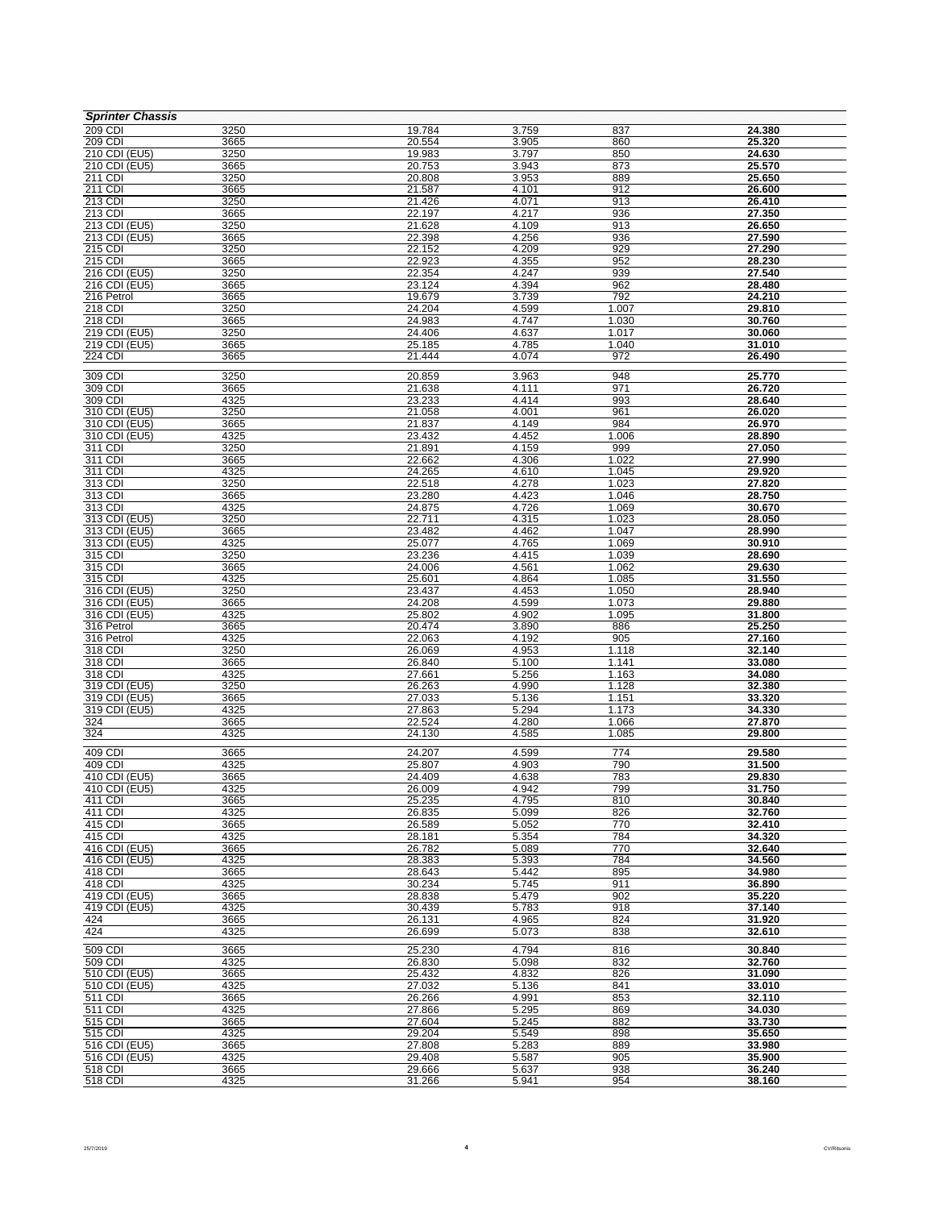| <b>Sprinter Chassis</b>        |              |                  |                |                |                  |
|--------------------------------|--------------|------------------|----------------|----------------|------------------|
| 209 CDI                        | 3250         | 19.784           | 3.759          | 837            | 24.380           |
| 209 CDI                        | 3665         | 20.554           | 3.905          | 860            | 25.320           |
| 210 CDI (EU5)                  | 3250         | 19.983           | 3.797          | 850            | 24.630           |
| 210 CDI (EU5)<br>211 CDI       | 3665<br>3250 | 20.753<br>20.808 | 3.943<br>3.953 | 873<br>889     | 25.570<br>25.650 |
| 211 CDI                        | 3665         | 21.587           | 4.101          | 912            | 26.600           |
| 213 CDI                        | 3250         | 21.426           | 4.071          | 913            | 26.410           |
| 213 CDI                        | 3665         | 22.197           | 4.217          | 936            | 27.350           |
| 213 CDI (EU5)                  | 3250         | 21.628           | 4.109          | 913            | 26.650           |
| 213 CDI (EU5)                  | 3665         | 22.398           | 4.256          | 936            | 27.590           |
| 215 CDI                        | 3250         | 22.152           | 4.209          | 929            | 27.290           |
| 215 CDI                        | 3665         | 22.923           | 4.355          | 952            | 28.230           |
| 216 CDI (EU5)                  | 3250         | 22.354           | 4.247          | 939<br>962     | 27.540           |
| 216 CDI (EU5)<br>216 Petrol    | 3665<br>3665 | 23.124<br>19.679 | 4.394<br>3.739 | 792            | 28.480<br>24.210 |
| 218 CDI                        | 3250         | 24.204           | 4.599          | 1.007          | 29.810           |
| 218 CDI                        | 3665         | 24.983           | 4.747          | 1.030          | 30.760           |
| $\overline{219}$ CDI (EU5)     | 3250         | 24.406           | 4.637          | 1.017          | 30.060           |
| 219 CDI (EU5)                  | 3665         | 25.185           | 4.785          | 1.040          | 31.010           |
| <b>224 CDI</b>                 | 3665         | 21.444           | 4.074          | 972            | 26.490           |
| 309 CDI                        | 3250         | 20.859           | 3.963          | 948            | 25.770           |
| 309 CDI                        | 3665         | 21.638           | 4.111          | 971            | 26.720           |
| 309 CDI                        | 4325         | 23.233           | 4.414          | 993            | 28.640           |
| 310 CDI (EU5)                  | 3250         | 21.058           | 4.001          | 961            | 26.020           |
| 310 CDI (EU5)                  | 3665         | 21.837           | 4.149          | 984            | 26.970           |
| 310 CDI (EU5)                  | 4325         | 23.432           | 4.452          | 1.006          | 28.890           |
| 311 CDI                        | 3250         | 21.891           | 4.159          | 999            | 27.050           |
| 311 CDI                        | 3665         | 22.662           | 4.306          | 1.022          | 27.990           |
| 311 CDI                        | 4325         | 24.265           | 4.610<br>4.278 | 1.045          | 29.920           |
| 313 CDI<br>313 CDI             | 3250<br>3665 | 22.518<br>23.280 | 4.423          | 1.023<br>1.046 | 27.820<br>28.750 |
| 313 CDI                        | 4325         | 24.875           | 4.726          | 1.069          | 30.670           |
| 313 CDI (EU5)                  | 3250         | 22.711           | 4.315          | 1.023          | 28.050           |
| 313 CDI (EU5)                  | 3665         | 23.482           | 4.462          | 1.047          | 28.990           |
| 313 CDI (EU5)                  | 4325         | 25.077           | 4.765          | 1.069          | 30.910           |
| 315 CDI                        | 3250         | 23.236           | 4.415          | 1.039          | 28.690           |
| 315 CDI                        | 3665         | 24.006           | 4.561          | 1.062          | 29.630           |
| 315 CDI                        | 4325         | 25.601           | 4.864          | 1.085          | 31.550           |
| 316 CDI (EU5)                  | 3250         | 23.437           | 4.453<br>4.599 | 1.050<br>1.073 | 28.940<br>29.880 |
| 316 CDI (EU5)<br>316 CDI (EU5) | 3665<br>4325 | 24.208<br>25.802 | 4.902          | 1.095          | 31.800           |
| 316 Petrol                     | 3665         | 20.474           | 3.890          | 886            | 25.250           |
| 316 Petrol                     | 4325         | 22.063           | 4.192          | 905            | 27.160           |
| 318 CDI                        | 3250         | 26.069           | 4.953          | 1.118          | 32.140           |
| 318 CDI                        | 3665         | 26.840           | 5.100          | 1.141          | 33.080           |
| 318 CDI                        | 4325         | 27.661           | 5.256          | 1.163          | 34.080           |
| 319 CDI (EU5)                  | 3250         | 26.263           | 4.990          | 1.128          | 32.380           |
| 319 CDI (EU5)                  | 3665         | 27.033           | 5.136          | 1.151          | 33.320           |
| 319 CDI (EU5)<br>324           | 4325<br>3665 | 27.863<br>22.524 | 5.294<br>4.280 | 1.173<br>1.066 | 34.330<br>27.870 |
| 324                            | 4325         | 24.130           | 4.585          | 1.085          | 29.800           |
|                                |              |                  |                |                |                  |
| 409 CDI                        | 3665         | 24.207           | 4.599          | 774            | 29.580           |
| 409 CDI<br>410 CDI (EU5)       | 4325         | 25.807<br>24.409 | 4.903          | 790            | 31.500<br>29.830 |
| 410 CDI (EU5)                  | 3665<br>4325 | 26.009           | 4.638<br>4.942 | 783<br>799     | 31.750           |
| 411 CDI                        | 3665         | 25.235           | 4.795          | 810            | 30.840           |
| 411 CDI                        | 4325         | 26.835           | 5.099          | 826            | 32.760           |
| 415 CDI                        | 3665         | 26.589           | 5.052          | 770            | 32.410           |
| 415 CDI                        | 4325         | 28.181           | 5.354          | 784            | 34.320           |
| 416 CDI (EU5)                  | 3665         | 26.782           | 5.089          | 770            | 32.640           |
| 416 CDI (EU5)                  | 4325         | 28.383           | 5.393          | 784            | 34.560           |
| 418 CDI                        | 3665         | 28.643           | 5.442          | 895            | 34.980           |
| 418 CDI<br>419 CDI (EU5)       | 4325<br>3665 | 30.234<br>28.838 | 5.745<br>5.479 | 911<br>902     | 36.890<br>35.220 |
| 419 CDI (EU5)                  | 4325         | 30.439           | 5.783          | 918            | 37.140           |
| 424                            | 3665         | 26.131           | 4.965          | 824            | 31.920           |
| 424                            | 4325         | 26.699           | 5.073          | 838            | 32.610           |
|                                |              |                  |                |                |                  |
| 509 CDI<br>509 CDI             | 3665<br>4325 | 25.230<br>26.830 | 4.794<br>5.098 | 816<br>832     | 30.840<br>32.760 |
| 510 CDI (EU5)                  | 3665         | 25.432           | 4.832          | 826            | 31.090           |
| 510 CDI (EU5)                  | 4325         | 27.032           | 5.136          | 841            | 33.010           |
| 511 CDI                        | 3665         | 26.266           | 4.991          | 853            | 32.110           |
| 511 CDI                        | 4325         | 27.866           | 5.295          | 869            | 34.030           |
| 515 CDI                        | 3665         | 27.604           | 5.245          | 882            | 33.730           |
| 515 CDI                        | 4325         | 29.204           | 5.549          | 898            | 35.650           |
| 516 CDI (EU5)                  | 3665         | 27.808           | 5.283          | 889            | 33.980           |
| 516 CDI (EU5)<br>518 CDI       | 4325<br>3665 | 29.408<br>29.666 | 5.587<br>5.637 | 905<br>938     | 35.900<br>36.240 |
| 518 CDI                        | 4325         | 31.266           | 5.941          | 954            | 38.160           |
|                                |              |                  |                |                |                  |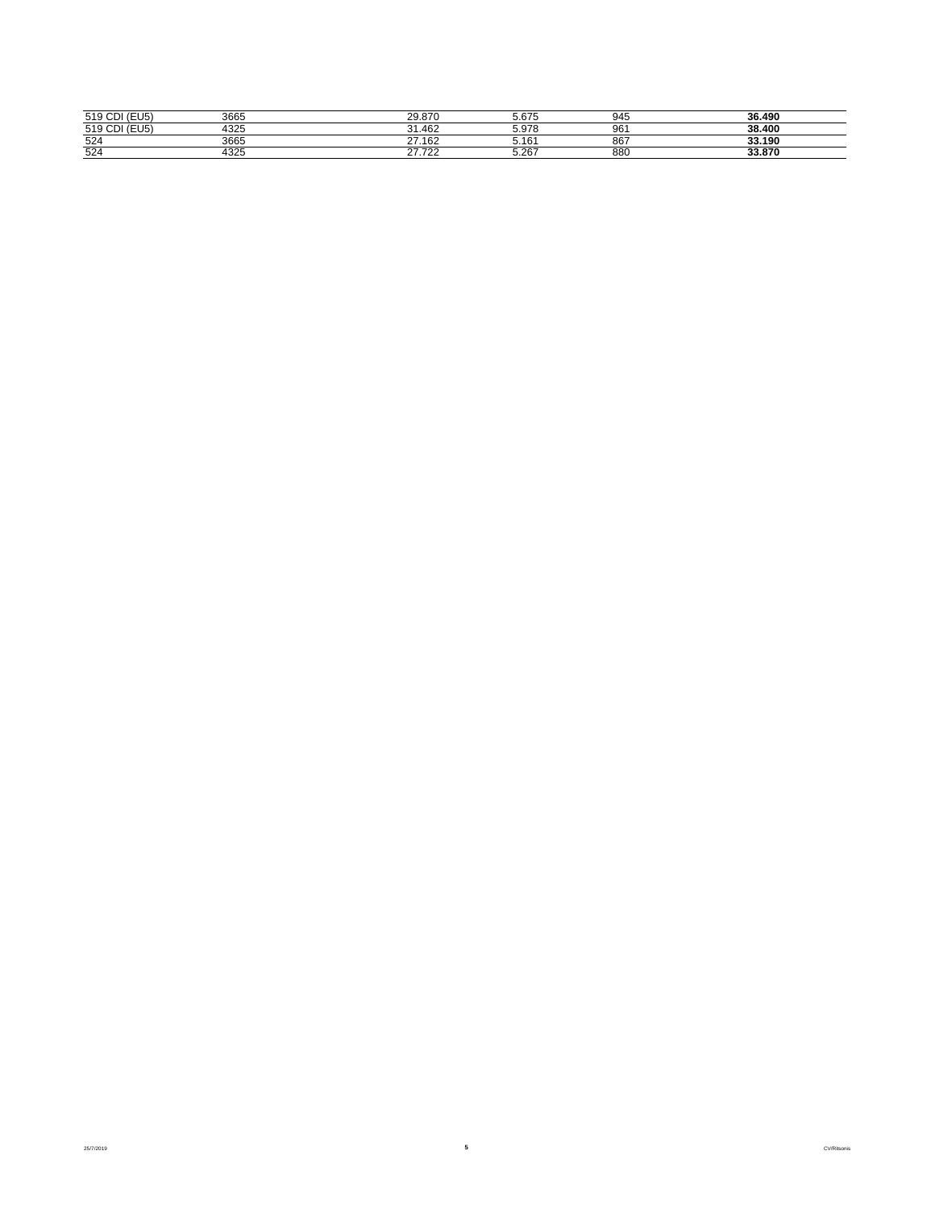| (7117)<br>519                | 3665            | 20.070<br>20.0                    | - 075<br>5.OZ       | 945             | 36.490            |
|------------------------------|-----------------|-----------------------------------|---------------------|-----------------|-------------------|
| $-1 -$<br>5101<br><b>UID</b> | $100 -$<br>4325 | 31.462                            | <b>E</b> 070<br>ບ.ບ | 96 <sup>°</sup> | 38.400            |
| 524                          | 3665            | $\sim$<br>.40 <sub>c</sub><br>∟ە∪ | .40<br>5.10         | 867             | 33.190            |
| 524                          | $100 -$<br>F32. | $\sim$ $\sim$ $\sim$<br>.<br>. .  | 5007<br>ວ.∠o        | 880             | 22.970<br>33.O/ l |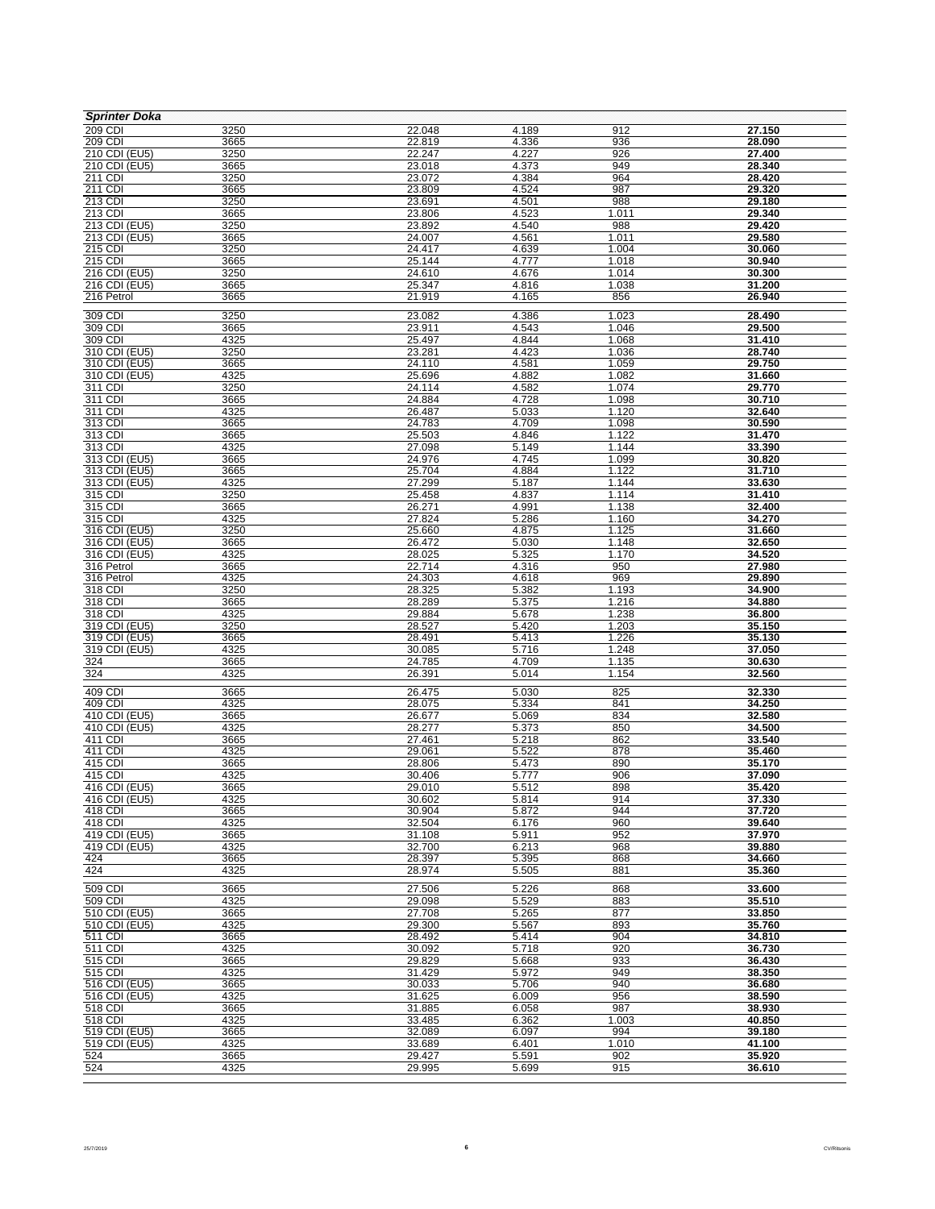| <b>Sprinter Doka</b>                  |              |                  |                |                    |                  |
|---------------------------------------|--------------|------------------|----------------|--------------------|------------------|
| 209 CDI                               | 3250         | 22.048           | 4.189          | 912                | 27.150           |
| 209 CDI                               | 3665         | 22.819           | 4.336          | 936                | 28.090           |
| 210 CDI (EU5)                         | 3250         | 22.247           | 4.227          | 926                | 27.400           |
| 210 CDI (EU5)<br>211 CDI              | 3665<br>3250 | 23.018<br>23.072 | 4.373<br>4.384 | 949<br>964         | 28.340<br>28.420 |
| 211 CDI                               | 3665         | 23.809           | 4.524          | 987                | 29.320           |
| 213 CDI                               | 3250         | 23.691           | 4.501          | 988                | 29.180           |
| 213 CDI                               | 3665         | 23.806           | 4.523          | 1.011              | 29.340           |
| 213 CDI (EU5)                         | 3250         | 23.892           | 4.540          | 988                | 29.420           |
| 213 CDI (EU5)                         | 3665         | 24.007           | 4.561          | 1.011              | 29.580           |
| 215 CDI                               | 3250         | 24.417           | 4.639          | 1.004              | 30.060           |
| 215 CDI<br>$\overline{216}$ CDI (EU5) | 3665<br>3250 | 25.144<br>24.610 | 4.777<br>4.676 | 1.018<br>1.014     | 30.940<br>30.300 |
| 216 CDI (EU5)                         | 3665         | 25.347           | 4.816          | 1.038              | 31.200           |
| 216 Petrol                            | 3665         | 21.919           | 4.165          | 856                | 26.940           |
|                                       |              |                  |                |                    |                  |
| 309 CDI<br>309 CDI                    | 3250         | 23.082<br>23.911 | 4.386<br>4.543 | 1.023<br>1.046     | 28.490<br>29.500 |
| 309 CDI                               | 3665<br>4325 | 25.497           | 4.844          | 1.068              | 31.410           |
| 310 CDI (EU5)                         | 3250         | 23.281           | 4.423          | 1.036              | 28.740           |
| 310 CDI (EU5)                         | 3665         | 24.110           | 4.581          | 1.059              | 29.750           |
| 310 CDI (EU5)                         | 4325         | 25.696           | 4.882          | 1.082              | 31.660           |
| 311 CDI                               | 3250         | 24.114           | 4.582          | 1.074              | 29.770           |
| 311 CDI                               | 3665         | 24.884           | 4.728          | 1.098              | 30.710           |
| 311 CDI<br>313 CDI                    | 4325         | 26.487<br>24.783 | 5.033          | 1.120<br>1.098     | 32.640<br>30.590 |
| 313 CDI                               | 3665<br>3665 | 25.503           | 4.709<br>4.846 | 1.122              | 31.470           |
| 313 CDI                               | 4325         | 27.098           | 5.149          | 1.144              | 33.390           |
| 313 CDI (EU5)                         | 3665         | 24.976           | 4.745          | 1.099              | 30.820           |
| 313 CDI (EU5)                         | 3665         | 25.704           | 4.884          | $\overline{1.122}$ | 31.710           |
| 313 CDI (EU5)                         | 4325         | 27.299           | 5.187          | 1.144              | 33.630           |
| 315 CDI                               | 3250         | 25.458           | 4.837          | 1.114              | 31.410           |
| 315 CDI                               | 3665         | 26.271           | 4.991          | 1.138              | 32.400           |
| 315 CDI<br>316 CDI (EU5)              | 4325<br>3250 | 27.824<br>25.660 | 5.286<br>4.875 | 1.160<br>1.125     | 34.270<br>31.660 |
| 316 CDI (EU5)                         | 3665         | 26.472           | 5.030          | 1.148              | 32.650           |
| 316 CDI (EU5)                         | 4325         | 28.025           | 5.325          | 1.170              | 34.520           |
| 316 Petrol                            | 3665         | 22.714           | 4.316          | 950                | 27.980           |
| 316 Petrol                            | 4325         | 24.303           | 4.618          | 969                | 29.890           |
| 318 CDI                               | 3250         | 28.325           | 5.382          | 1.193              | 34.900           |
| 318 CDI                               | 3665         | 28.289           | 5.375          | 1.216              | 34.880           |
| 318 CDI<br>319 CDI (EU5)              | 4325<br>3250 | 29.884<br>28.527 | 5.678<br>5.420 | 1.238<br>1.203     | 36.800<br>35.150 |
| 319 CDI (EU5)                         | 3665         | 28.491           | 5.413          | 1.226              | 35.130           |
| 319 CDI (EU5)                         | 4325         | 30.085           | 5.716          | 1.248              | 37.050           |
| 324                                   | 3665         | 24.785           | 4.709          | 1.135              | 30.630           |
| 324                                   | 4325         | 26.391           | 5.014          | 1.154              | 32.560           |
| 409 CDI                               | 3665         | 26.475           | 5.030          | 825                | 32.330           |
| 409 CDI                               | 4325         | 28.075           | 5.334          | 841                | 34.250           |
| 410 CDI (EU5)                         | 3665         | 26.677           | 5.069          | 834                | 32.580           |
| 410 CDI (EU5)                         | 4325         | 28.277           | 5.373          | 850                | 34.500           |
| 411 CDI                               | 3665         | 27.461           | 5.218          | 862                | 33.540           |
| 411 CDI                               | 4325         | 29.061           | 5.522          | 878                | 35.460           |
| 415 CDI<br>415 CDI                    | 3665<br>4325 | 28.806<br>30.406 | 5.473<br>5.777 | 890<br>906         | 35.170<br>37.090 |
| 416 CDI (EU5)                         | 3665         | 29.010           | 5.512          | 898                | 35.420           |
| 416 CDI (EU5)                         | 4325         | 30.602           | 5.814          | 914                | 37.330           |
| 418 CDI                               | 3665         | 30.904           | 5.872          | 944                | 37.720           |
| 418 CDI                               | 4325         | 32.504           | 6.176          | 960                | 39.640           |
| 419 CDI (EU5)                         | 3665         | 31.108           | 5.911          | 952                | 37.970           |
| 419 CDI (EU5)                         | 4325         | 32.700           | 6.213          | 968                | 39.880           |
| 424<br>424                            | 3665<br>4325 | 28.397<br>28.974 | 5.395<br>5.505 | 868<br>881         | 34.660<br>35.360 |
|                                       |              |                  |                |                    |                  |
| 509 CDI                               | 3665         | 27.506           | 5.226          | 868                | 33.600           |
| 509 CDI<br>510 CDI (EU5)              | 4325<br>3665 | 29.098<br>27.708 | 5.529<br>5.265 | 883<br>877         | 35.510<br>33.850 |
| 510 CDI (EU5)                         | 4325         | 29.300           | 5.567          | 893                | 35.760           |
| 511 CDI                               | 3665         | 28.492           | 5.414          | 904                | 34.810           |
| 511 CDI                               | 4325         | 30.092           | 5.718          | 920                | 36.730           |
| 515 CDI                               | 3665         | 29.829           | 5.668          | 933                | 36.430           |
| 515 CDI                               | 4325         | 31.429           | 5.972          | 949                | 38.350           |
| 516 CDI (EU5)                         | 3665         | 30.033           | 5.706          | 940                | 36.680           |
| 516 CDI (EU5)<br>518 CDI              | 4325<br>3665 | 31.625           | 6.009<br>6.058 | 956<br>987         | 38.590<br>38.930 |
| 518 CDI                               | 4325         | 31.885<br>33.485 | 6.362          | 1.003              | 40.850           |
| 519 CDI (EU5)                         | 3665         | 32.089           | 6.097          | 994                | 39.180           |
| 519 CDI (EU5)                         | 4325         | 33.689           | 6.401          | 1.010              | 41.100           |
| 524                                   | 3665         | 29.427           | 5.591          | 902                | 35.920           |
| 524                                   | 4325         | 29.995           | 5.699          | 915                | 36.610           |